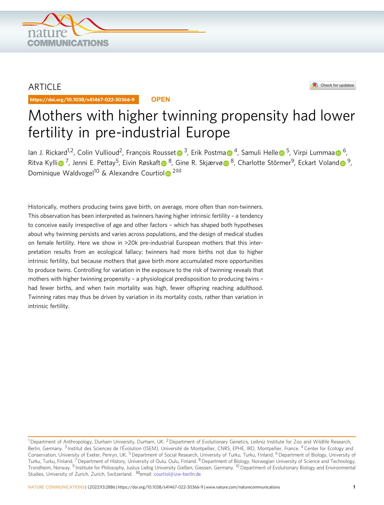

## ARTICLE

https://doi.org/10.1038/s41467-022-30366-9 **OPEN**



# Mothers with higher twinning propensity had lower fertility in pre-industrial Europe

Ian J. Rickard<sup>1,2</sup>, Colin Vullioud<sup>2</sup>, François Rousse[t](http://orcid.org/0000-0003-4670-0371) <sup>[3](http://orcid.org/0000-0003-4670-0371)</sup>, Erik Postm[a](http://orcid.org/0000-0002-2128-7587) <sup>4</sup>, Samuli H[e](http://orcid.org/0000-0002-6216-3759)lle <sup>5</sup>, Virpi Lummaa <sup>[6](http://orcid.org/0000-0002-2128-7587)</sup>, R[i](http://orcid.org/0000-0002-5047-2714)[t](http://orcid.org/0000-0003-0262-8443)va Kylli $\bullet^7$  $\bullet^7$ , Jenni E. Pettay<sup>5</sup>, Eivin R[ø](http://orcid.org/0000-0002-2911-6045)skaft $\bullet^8$  $\bullet^8$ , Gine R. Skjærvø $\bullet^8$ , Charlotte Störmer<sup>9</sup>, Eckart Volan[d](http://orcid.org/0000-0002-2283-2735) $\bullet^9$  $\bullet^9$ , Dominique Wa[l](http://orcid.org/0000-0003-0637-2959)dvogel<sup>10</sup> & Alexandre Courtiol<sup>[2](http://orcid.org/0000-0003-0637-2959) $\boxtimes$ </sup>

Historically, mothers producing twins gave birth, on average, more often than non-twinners. This observation has been interpreted as twinners having higher intrinsic fertility – a tendency to conceive easily irrespective of age and other factors – which has shaped both hypotheses about why twinning persists and varies across populations, and the design of medical studies on female fertility. Here we show in >20k pre-industrial European mothers that this interpretation results from an ecological fallacy: twinners had more births not due to higher intrinsic fertility, but because mothers that gave birth more accumulated more opportunities to produce twins. Controlling for variation in the exposure to the risk of twinning reveals that mothers with higher twinning propensity – a physiological predisposition to producing twins – had fewer births, and when twin mortality was high, fewer offspring reaching adulthood. Twinning rates may thus be driven by variation in its mortality costs, rather than variation in intrinsic fertility.

<sup>&</sup>lt;sup>1</sup> Department of Anthropology, Durham University, Durham, UK. <sup>2</sup> Department of Evolutionary Genetics, Leibniz Institute for Zoo and Wildlife Research, Berlin, Germany. <sup>3</sup> Institut des Sciences de l'Évolution (ISEM), Université de Montpellier, CNRS, EPHE, IRD, Montpellier, France. <sup>4</sup> Center for Ecology and Conservation, University of Exeter, Penryn, UK.<sup>5</sup> Department of Social Research, University of Turku, Turku, Finland. <sup>6</sup> Department of Biology, University of Turku, Turku, Finland. <sup>7</sup>Department of History, University of Oulu, Oulu, Finland. <sup>8</sup>Department of Biology, Norwegian University of Science and Technology, Trondheim, Norway. <sup>9</sup> Institute for Philosophy, Justus Liebig University Gießen, Giessen, Germany. <sup>10</sup> Department of Evolutionary Biology and Environmental Studies, University of Zurich, Zurich, Switzerland. ✉email: [courtiol@izw-berlin.de](mailto:courtiol@izw-berlin.de)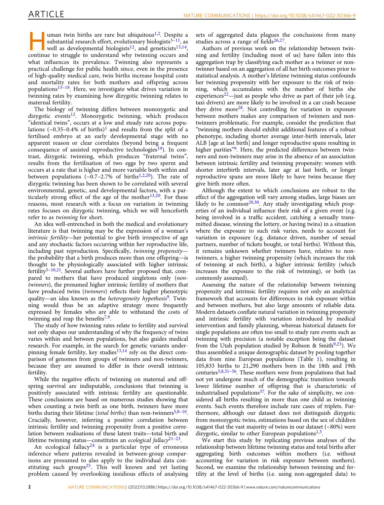uman twin births are rare but ubiquitous<sup>[1](#page-9-0),[2](#page-9-0)</sup>. Despite a substantial research effort, evolutionary biologists $3-11$  $3-11$  $3-11$ , as well as developmental biologists<sup>12</sup>, and geneticists<sup>13,14</sup>, continue to struggle to understand why twinning occurs and what influences its prevalence. Twinning also represents a practical challenge for public health since, even in the presence of high-quality medical care, twin births increase hospital costs and mortality rates for both mothers and offspring across populations<sup>[15](#page-9-0)–[18](#page-9-0)</sup>. Here, we investigate what drives variation in twinning rates by examining how dizygotic twinning relates to maternal fertility.

The biology of twinning differs between monozygotic and dizygotic events $12$ . Monozygotic twinning, which produces "identical twins", occurs at a low and steady rate across populations ( $\sim$ 0.35–0.4% of births)<sup>[1](#page-9-0)</sup> and results from the split of a fertilised embryo at an early developmental stage with no apparent reason or clear correlates (beyond being a frequent consequence of assisted reproductive technologies<sup>19</sup>). In contrast, dizygotic twinning, which produces "fraternal twins", results from the fertilisation of two eggs by two sperm and occurs at a rate that is higher and more variable both within and between populations  $(-0.7-2.7\% \text{ of births}^{1,2,20})$  $(-0.7-2.7\% \text{ of births}^{1,2,20})$  $(-0.7-2.7\% \text{ of births}^{1,2,20})$ . The rate of dizygotic twinning has been shown to be correlated with several environmental, genetic, and developmental factors, with a particularly strong effect of the age of the mother<sup>13,20</sup>. For these reasons, most research with a focus on variation in twinning rates focuses on dizygotic twinning, which we will henceforth refer to as twinning for short.

An idea well-entrenched in both the medical and evolutionary literature is that twinning may be the expression of a woman's intrinsic fertility—her potential to give birth irrespective of age and any stochastic factors occurring within her reproductive life, including past reproduction. Specifically, twinning propensity the probability that a birth produces more than one offspring—is thought to be physiologically associated with higher intrinsic fertility<sup>[5](#page-9-0)-[10,](#page-9-0)21</sup>. Several authors have further proposed that, compared to mothers that have produced singletons only (nontwinners), the presumed higher intrinsic fertility of mothers that have produced twins (twinners) reflects their higher phenotypic quality—an idea known as the *heterogeneity hypothesis*<sup>9</sup>. Twinning would thus be an adaptive strategy more frequently expressed by females who are able to withstand the costs of twinning and reap the benefits $7,9$  $7,9$ .

The study of how twinning rates relate to fertility and survival not only shapes our understanding of why the frequency of twins varies within and between populations, but also guides medical research. For example, in the search for genetic variants underpinning female fertility, key studies $13,14$  rely on the direct comparison of genomes from groups of twinners and non-twinners, because they are assumed to differ in their overall intrinsic fertility.

While the negative effects of twinning on maternal and offspring survival are indisputable, conclusions that twinning is positively associated with intrinsic fertility are questionable. These conclusions are based on numerous studies showing that when counting a twin birth as one birth, twinners have more births during their lifetime (total births) than non-twinners<sup>[5](#page-9-0),[8](#page-9-0)–10</sup>. Crucially, however, inferring a positive correlation between intrinsic fertility and twinning propensity from a positive correlation between realisations of these latent traits—total birth and lifetime twinning status—constitutes an ecological fallacy $2^{1-23}$ .

An ecological fallacy<sup>[24](#page-10-0)</sup> is a particular type of erroneous inference where patterns revealed in between-group comparisons are presumed to also apply to the individual data constituting such groups<sup>25</sup>. This well known and yet lasting problem caused by overlooking insidious effects of analysing sets of aggregated data plagues the conclusions from many studies across a range of fields $26,27$  $26,27$  $26,27$ .

Authors of previous work on the relationship between twinning and fertility (including most of us) have fallen into this aggregation trap by classifying each mother as a twinner or nontwinner based on an aggregation of all her birth outcomes prior to statistical analysis. A mother's lifetime twinning status confounds her twinning propensity with her exposure to the risk of twinning, which accumulates with the number of births she experiences<sup>[22](#page-10-0)</sup>—just as people who drive as part of their job (e.g. taxi drivers) are more likely to be involved in a car crash because they drive more<sup>28</sup>. Not controlling for variation in exposure between mothers makes any comparison of twinners and nontwinners problematic. For example, consider the prediction that "twinning mothers should exhibit additional features of a robust phenotype, including shorter average inter-birth intervals, later ALB [age at last birth] and longer reproductive spans resulting in higher parities"<sup>9</sup>. Here, the predicted differences between twinners and non-twinners may arise in the absence of an association between intrinsic fertility and twinning propensity: women with shorter interbirth intervals, later age at last birth, or longer reproductive spans are more likely to have twins because they give birth more often.

Although the extent to which conclusions are robust to the effect of the aggregation will vary among studies, large biases are likely to be common<sup>29,30</sup>. Any study investigating which properties of an individual influence their risk of a given event (e.g. being involved in a traffic accident, catching a sexually transmitted disease, winning the lottery, or having twins) in a situation where the exposure to such risk varies, needs to account for variation in exposure (e.g. distance driven, number of sexual partners, number of tickets bought, or total births). Without this, it remains unknown whether twinners have, relative to nontwinners, a higher twinning propensity (which increases the risk of twinning at each birth), a higher intrinsic fertility (which increases the exposure to the risk of twinning), or both (as commonly assumed).

Assessing the nature of the relationship between twinning propensity and intrinsic fertility requires not only an analytical framework that accounts for differences in risk exposure within and between mothers, but also large amounts of reliable data. Modern datasets conflate natural variation in twinning propensity and intrinsic fertility with variation introduced by medical intervention and family planning, whereas historical datasets for single populations are often too small to study rare events such as twinning with precision (a notable exception being the dataset from the Utah population studied by Robson & Smith<sup>9,23</sup>). We thus assembled a unique demographic dataset by pooling together data from nine European populations (Table [1\)](#page-2-0), resulting in 105,833 births to 21,290 mothers born in the 18th and 19th centuries[5](#page-9-0),[8,](#page-9-0)[31](#page-10-0)–[36.](#page-10-0) These mothers were from populations that had not yet undergone much of the demographic transition towards lower lifetime number of offspring that is characteristic of industrialised populations<sup>37</sup>. For the sake of simplicity, we considered all births resulting in more than one child as twinning events. Such events therefore include rare cases of triplets. Furthermore, although our dataset does not distinguish dizygotic from monozygotic twins, estimations based on the sex of children suggest that the vast majority of twins in our dataset  $(\sim80\%)$  were dizygotic, similar to other European populations<sup>[1,3](#page-9-0)</sup>.

We start this study by replicating previous analyses of the relationship between lifetime twinning status and total births after aggregating birth outcomes within mothers (i.e. without accounting for variation in risk exposure between mothers). Second, we examine the relationship between twinning and fertility at the level of births (i.e. using non-aggregated data) to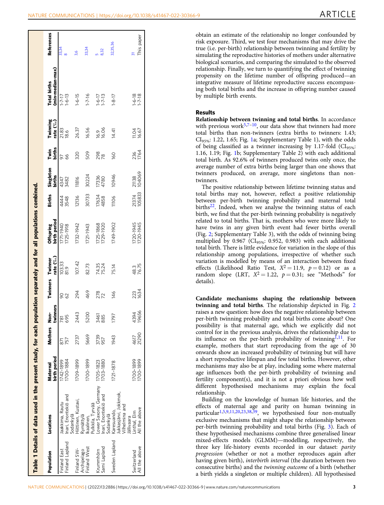<span id="page-2-0"></span>

|                              | Table 1 Details of data used in the present study, for each               |                          |                |                  |             |                        | population separately and for all populations combined. |                 |                     |                |                       |                                  |                   |
|------------------------------|---------------------------------------------------------------------------|--------------------------|----------------|------------------|-------------|------------------------|---------------------------------------------------------|-----------------|---------------------|----------------|-----------------------|----------------------------------|-------------------|
| Population                   | Locations                                                                 | birth period<br>Maternal | <b>Mothers</b> | Non-<br>twinners | Twinners    | rate $(\%)$<br>Twinner | Offspring<br>birth period                               | <b>Births</b>   | Singleton<br>births | Twin<br>births | Twinning<br>rate (%o) | Total births<br>(min-median-max) | <b>References</b> |
| inland East                  | laakkima, Rautu                                                           | 1742-1899                |                | 781              | 90          | 103.33                 | 771-1940                                                |                 | 4347                | 57             | 21.83                 | $1 - 7 - 17$                     | 33,34             |
| inland Lapland               | Inari, Enontekiö and<br>Sodankylä                                         | 700-1884                 | 757            | 695              | 62          | 81.9                   | 725-1918                                                | 3548<br>444     | 3482                | 89             | 18.6                  | $1-6-13$                         |                   |
| inland SW-<br>Archipelago    | Hiittinen, Kustavi,<br>Rymättylä                                          | 1709-1899                | 2737           | 2443             | 294         | 107.42                 | 732-1942                                                | 12136           | 11816               | 320            | 26.37                 | $1-6-15$                         | 9,6               |
| inland West                  | kaalinen,                                                                 | 700-1899                 | 5669           | 5200             | 469         | 82.73                  | 721-1943                                                | 30733           | 30224               | 509            | 16.56                 | $1 - 7 - 16$                     | 33,34             |
| Sami Lapland<br>rummhöm      | ower Saxony, Germany 1705-1823<br>nari, Enontekiö and<br>Pulkkila, Tyrvää | 703-1880                 | 3739<br>957    | 3461<br>885      | 278<br>72   | 74.35<br>75.24         | 725-1868<br>729-1920                                    | 17634<br>4858   | 17336<br>4780       | 298<br>78      | 16.06<br>16.06        | $1 - 6 - 17$<br>1-7-13           | 8,32              |
| Sweden Lapland               | Karesuando,<br>Sodankylä                                                  | 1721-1878                | 1943           | 1797             | 146         | 75.14                  | 1749-1902                                               | 11106           | 10946               | 160            | 14.41                 | $1 - 8 - 17$                     | 32,35,36          |
|                              | lukkasjärvi, Jokkmok,<br>Vilhelmina and<br>Billivaara                     |                          |                |                  |             |                        |                                                         |                 |                     |                |                       |                                  |                   |
| All the above<br>Switzerland | All the above<br>Linthal, Elm                                             | 1700-1899<br>700-1899    | 21290<br>4617  | 19656<br>4394    | 223<br>1634 | 48.3<br>76.75          | 1720-1945<br>720-1945                                   | 21374<br>105833 | 21138<br>104069     | 236<br>1764    | 11.04<br>16.67        | $1-6-18$<br>$1-7-18$             | This paper        |
|                              |                                                                           |                          |                |                  |             |                        |                                                         |                 |                     |                |                       |                                  |                   |
|                              |                                                                           |                          |                |                  |             |                        |                                                         |                 |                     |                |                       |                                  |                   |

obtain an estimate of the relationship no longer confounded by risk exposure. Third, we test four mechanisms that may drive the true (i.e. per-birth) relationship between twinning and fertility by simulating the reproductive histories of mothers under alternative biological scenarios, and comparing the simulated to the observed relationship. Finally, we turn to quantifying the effect of twinning propensity on the lifetime number of offspring produced—an integrative measure of lifetime reproductive success encompassing both total births and the increase in offspring number caused by multiple birth events.

### Results

Relationship between twinning and total births. In accordance with previous work $5,7-10$  $5,7-10$ , our data show that twinners had more total births than non-twinners (extra births to twinners: 1.43;  $CI<sub>95%</sub>: 1.22, 1.65; Fig. 1a; Supplementary Table 1), with the odds$  $CI<sub>95%</sub>: 1.22, 1.65; Fig. 1a; Supplementary Table 1), with the odds$  $CI<sub>95%</sub>: 1.22, 1.65; Fig. 1a; Supplementary Table 1), with the odds$ of being classified as a twinner increasing by 1.17-fold  $(Cl_{95\%}:$ 1.16, 1.19; Fig. [1](#page-3-0)b; Supplementary Table 2) with each additional total birth. As 92.6% of twinners produced twins only once, the average number of extra births being larger than one shows that twinners produced, on average, more singletons than nontwinners.

The positive relationship between lifetime twinning status and total births may not, however, reflect a positive relationship between per-birth twinning probability and maternal total births<sup>22</sup>. Indeed, when we analyse the twinning status of each birth, we find that the per-birth twinning probability is negatively related to total births. That is, mothers who were more likely to have twins in any given birth event had fewer births overall (Fig. [2;](#page-4-0) Supplementary Table 3), with the odds of twinning being multiplied by 0.967 ( $CI<sub>95%</sub>:$  0.952, 0.983) with each additional total birth. There is little evidence for variation in the slope of this relationship among populations, irrespective of whether such variation is modelled by means of an interaction between fixed effects (Likelihood Ratio Test,  $X^2 = 11.9$ ,  $p = 0.12$ ) or as a random slope (LRT,  $X^2 = 1.22$ ,  $p = 0.31$ ; see "Methods" for details).

Candidate mechanisms shaping the relationship between twinning and total births. The relationship depicted in Fig. [2](#page-4-0) raises a new question: how does the negative relationship between per-birth twinning probability and total births come about? One possibility is that maternal age, which we explicitly did not control for in the previous analysis, drives the relationship due to its influence on the per-birth probability of twinning<sup>1,11</sup>. For example, mothers that start reproducing from the age of 30 onwards show an increased probability of twinning but will have a short reproductive lifespan and few total births. However, other mechanisms may also be at play, including some where maternal age influences both the per-birth probability of twinning and fertility component(s), and it is not a priori obvious how well different hypothesised mechanisms may explain the focal relationship.

Building on the knowledge of human life histories, and the effects of maternal age and parity on human twinning in particular<sup>[1,5](#page-9-0),[9,11,20](#page-9-0)[,23](#page-10-0),[38](#page-10-0),[39](#page-10-0)</sup>, we hypothesised four non-mutually exclusive mechanisms that might shape the relationship between per-birth twinning probability and total births (Fig. [3](#page-5-0)). Each of these hypothesised mechanisms combine three generalised linear mixed-effects models (GLMM)—modelling, respectively, the three key life-history events recorded in our dataset: parity progression (whether or not a mother reproduces again after having given birth), *interbirth interval* (the duration between two consecutive births) and the twinning outcome of a birth (whether a birth yields a singleton or multiple children). All hypothesised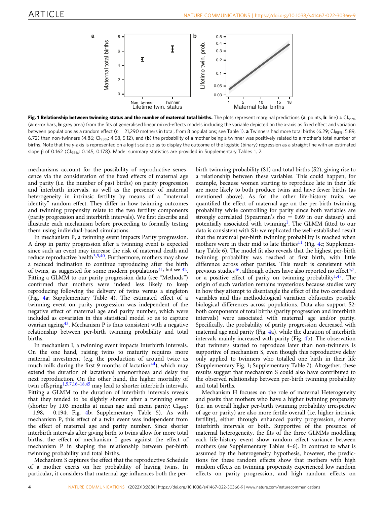<span id="page-3-0"></span>

Fig. 1 Relationship between twinning status and the number of maternal total births. The plots represent marginal predictions (a: points, b: line)  $\pm$  Cl<sub>95%</sub> (a: error bars, b: grey area) from the fits of generalised linear mixed-effects models including the variable depicted on the x-axis as fixed effect and variation between populations as a random effect ( $n = 21,290$  mothers in total, from 8 populations; see Table [1\)](#page-2-0). **a** Twinners had more total births (6.29; Cl<sub>95%</sub>: 5.89, 6.72) than non-twinners (4.86; CI<sub>95%</sub>: 4.58, 5.12), and (**b**) the probability of a mother being a twinner was positively related to a mother's total number of births. Note that the y-axis is represented on a logit scale so as to display the outcome of the logistic (binary) regression as a straight line with an estimated slope β of 0.162 (CI<sub>95%</sub>: 0.145, 0.178). Model summary statistics are provided in Supplementary Tables 1, 2.

mechanisms account for the possibility of reproductive senescence via the consideration of the fixed effects of maternal age and parity (i.e. the number of past births) on parity progression and interbirth intervals, as well as the presence of maternal heterogeneity in intrinsic fertility by means of a "maternal identity" random effect. They differ in how twinning outcomes and twinning propensity relate to the two fertility components (parity progression and interbirth intervals). We first describe and illustrate each mechanism before proceeding to formally testing them using individual-based simulations.

In mechanism P, a twinning event impacts Parity progression. A drop in parity progression after a twinning event is expected since such an event may increase the risk of maternal death and reduce reproductive health $3,5,40$  $3,5,40$ . Furthermore, mothers may show a reduced inclination to continue reproducing after the birth of twins, as suggested for some modern populations<sup>[41,](#page-10-0) but see 42</sup>. Fitting a GLMM to our parity progression data (see "Methods") confirmed that mothers were indeed less likely to keep reproducing following the delivery of twins versus a singleton (Fig. [4a](#page-5-0); Supplementary Table 4). The estimated effect of a twinning event on parity progression was independent of the negative effect of maternal age and parity number, which were included as covariates in this statistical model so as to capture ovarian ageing $43$ . Mechanism P is thus consistent with a negative relationship between per-birth twinning probability and total births.

In mechanism I, a twinning event impacts Interbirth intervals. On the one hand, raising twins to maturity requires more maternal investment (e.g. the production of around twice as much milk during the first 9 months of lactation<sup>44</sup>), which may extend the duration of lactational amenorrhoea and delay the next reproduction. On the other hand, the higher mortality of twin offspring<sup>[1,5,7](#page-9-0),[16](#page-9-0)–[18](#page-9-0),[45](#page-10-0)</sup> may lead to shorter interbirth intervals. Fitting a GLMM to the duration of interbirth intervals reveals that they tended to be slightly shorter after a twinning event (shorter by 1.03 months at mean age and mean parity;  $CI_{95\%}$ : −1.98, −0.194; Fig. [4b](#page-5-0); Supplementary Table 5). As with mechanism P, this effect of a twin event was independent from the effect of maternal age and parity number. Since shorter interbirth intervals after giving birth to twins allow for more total births, the effect of mechanism I goes against the effect of mechanism P in shaping the relationship between per-birth twinning probability and total births.

Mechanism S captures the effect that the reproductive Schedule of a mother exerts on her probability of having twins. In particular, it considers that maternal age influences both the perbirth twinning probability (S1) and total births (S2), giving rise to a relationship between these variables. This could happen, for example, because women starting to reproduce late in their life are more likely to both produce twins and have fewer births (as mentioned above). As for the other life-history traits, we quantified the effect of maternal age on the per-birth twinning probability while controlling for parity since both variables are strongly correlated (Spearman's rho  $= 0.69$  in our dataset) and potentially associated with twinning<sup>[1](#page-9-0)</sup>. The GLMM fitted to our data is consistent with S1: we replicated the well-established result that the maximal per-birth twinning probability is reached when mothers were in their mid to late thirties<sup>[11](#page-9-0)</sup> (Fig. [4c](#page-5-0); Supplementary Table 6). The model fit also reveals that the highest per-birth twinning probability was reached at first birth, with little difference across other parities. This result is consistent with previous studies<sup>[46](#page-10-0)</sup>, although others have also reported no effect<sup>[5](#page-9-0),7</sup>, or a positive effect of parity on twinning probability<sup>[1](#page-9-0),[47](#page-10-0)</sup>. The origin of such variation remains mysterious because studies vary in how they attempt to disentangle the effect of the two correlated variables and this methodological variation obfuscates possible biological differences across populations. Data also support S2: both components of total births (parity progression and interbirth intervals) were associated with maternal age and/or parity. Specifically, the probability of parity progression decreased with maternal age and parity (Fig. [4a](#page-5-0)), while the duration of interbirth intervals mainly increased with parity (Fig. [4b](#page-5-0)). The observation that twinners started to reproduce later than non-twinners is supportive of mechanism S, even though this reproductive delay only applied to twinners who totalled one birth in their life (Supplementary Fig. 1; Supplementary Table 7). Altogether, these results suggest that mechanism S could also have contributed to the observed relationship between per-birth twinning probability and total births.

Mechanism H focuses on the role of maternal Heterogeneity and posits that mothers who have a higher twinning propensity (i.e. an overall higher per-birth twinning probability irrespective of age or parity) are also more fertile overall (i.e. higher intrinsic fertility), either through enhanced parity progression, shorter interbirth intervals or both. Supportive of the presence of maternal heterogeneity, the fits of the three GLMMs modelling each life-history event show random effect variance between mothers (see Supplementary Tables 4–6). In contrast to what is assumed by the heterogeneity hypothesis, however, the predictions for these random effects show that mothers with high random effects on twinning propensity experienced low random effects on parity progression, and high random effects on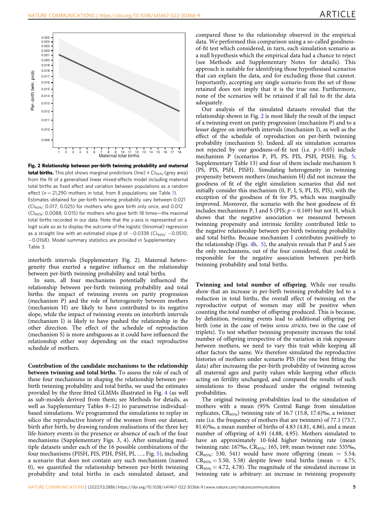<span id="page-4-0"></span>

Fig. 2 Relationship between per-birth twinning probability and maternal **total births.** This plot shows marginal predictions (line)  $\pm$  Cl<sub>95%</sub> (grey area) from the fit of a generalised linear mixed-effects model including maternal total births as fixed effect and variation between populations as a random effect ( $n = 21,290$  mothers in total, from 8 populations; see Table [1\)](#page-2-0). Estimates obtained for per-birth twinning probability vary between 0.021 (CI95%: 0.017, 0.025) for mothers who gave birth only once, and 0.012 (CI95%: 0.0088, 0.015) for mothers who gave birth 18 times—the maximal total births recorded in our data. Note that the y-axis is represented on a logit scale so as to display the outcome of the logistic (binomial) regression as a straight line with an estimated slope  $β$  of  $-0.0338$  (Cl<sub>95%</sub>:  $-0.0510$ , −0.0168). Model summary statistics are provided in Supplementary Table 3.

interbirth intervals (Supplementary Fig. 2). Maternal heterogeneity thus exerted a negative influence on the relationship between per-birth twinning probability and total births.

In sum, all four mechanisms potentially influenced the relationship between per-birth twinning probability and total births: the impact of twinning events on parity progression (mechanism P) and the role of heterogeneity between mothers (mechanism H) are likely to have contributed to its negative slope, while the impact of twinning events on interbirth intervals (mechanism I) is likely to have pushed the relationship in the other direction. The effect of the schedule of reproduction (mechanism S) is more ambiguous as it could have influenced the relationship either way depending on the exact reproductive schedule of mothers.

Contribution of the candidate mechanisms to the relationship between twinning and total births. To assess the role of each of these four mechanisms in shaping the relationship between perbirth twinning probability and total births, we used the estimates provided by the three fitted GLMMs illustrated in Fig. [4](#page-5-0) (as well as sub-models derived from them; see Methods for details, as well as Supplementary Tables 8–12) to parametrise individualbased simulations. We programmed the simulations to replay in silico the reproductive history of the women from our dataset, birth after birth, by drawing random realisations of the three key life-history events in the presence or absence of each of the four mechanisms (Supplementary Figs. 3, 4). After simulating multiple datasets under each of the 16 possible combinations of the four mechanisms (PISH, PIS, PIH, PSH, PI, …, Fig. [5\)](#page-6-0), including a scenario that does not contain any such mechanism (named 0), we quantified the relationship between per-birth twinning probability and total births in each simulated dataset, and

compared these to the relationship observed in the empirical data. We performed this comparison using a so-called goodnessof-fit test which considered, in turn, each simulation scenario as a null hypothesis which the empirical data had a chance to reject (see Methods and Supplementary Notes for details). This approach is suitable for identifying those hypothesised scenarios that can explain the data, and for excluding those that cannot. Importantly, accepting any single scenario from the set of those retained does not imply that it is the true one. Furthermore, none of the scenarios will be retained if all fail to fit the data adequately.

Our analysis of the simulated datasets revealed that the relationship shown in Fig. 2 is most likely the result of the impact of a twinning event on parity progression (mechanism P) and to a lesser degree on interbirth intervals (mechanism I), as well as the effect of the schedule of reproduction on per-birth twinning probability (mechanism S). Indeed, all six simulation scenarios not rejected by our goodness-of-fit test (i.e.  $p > 0.05$ ) include mechanism P (scenarios P, PI, PS, PIS, PSH, PISH; Fig. [5;](#page-6-0) Supplementary Table 13) and four of them include mechanism S (PS, PIS, PSH, PISH). Simulating heterogeneity in twinning propensity between mothers (mechanism H) did not increase the goodness of fit of the eight simulation scenarios that did not initially consider this mechanism (0, P, I, S, PI, IS, PIS), with the exception of the goodness of fit for PS, which was marginally improved. Moreover, the scenario with the best goodness of fit includes mechanisms P, I and S (PIS;  $p = 0.169$ ) but not H, which shows that the negative association we measured between twinning propensity and intrinsic fertility contributed little to the negative relationship between per-birth twinning probability and total births. Because mechanism I contributes positively to the relationship (Figs. [4b](#page-5-0), [5](#page-6-0)), the analysis reveals that P and S are the only mechanisms, out of the four considered, that could be responsible for the negative association between per-birth twinning probability and total births.

Twinning and total number of offspring. While our results show that an increase in per-birth twinning probability led to a reduction in total births, the overall effect of twinning on the reproductive output of women may still be positive when counting the total number of offspring produced. This is because, by definition, twinning events lead to additional offspring per birth (one in the case of twins sensu stricto, two in the case of triplets). To test whether twinning propensity increases the total number of offspring irrespective of the variation in risk exposure between mothers, we need to vary this trait while keeping all other factors the same. We therefore simulated the reproductive histories of mothers under scenario PIS (the one best fitting the data) after increasing the per-birth probability of twinning across all maternal ages and parity values while keeping other effects acting on fertility unchanged, and compared the results of such simulations to those produced under the original twinning probabilities.

The original twinning probabilities lead to the simulation of mothers with a mean (95% Central Range from simulation replicates,  $CR_{95\%}$ ) twinning rate of 16.7 (15.8, 17.6)‰, a twinner rate (i.e. the frequency of mothers that are twinners) of 77.1 (73.7, 81.6)‰, a mean number of births of 4.83 (4.81, 4.86), and a mean number of offspring of 4.91 (4.88, 4.95). Mothers simulated to have an approximately 10-fold higher twinning rate (mean twinning rate: 167‰, CR<sub>95%</sub>: 165, 169; mean twinner rate: 535‰,  $CR_{95\%}: 530, 541$ ) would have more offspring (mean = 5.54;  $CR_{95\%} = 5.50, 5.58$ ) despite fewer total births (mean = 4.75;  $CR_{95\%} = 4.72, 4.78$ ). The magnitude of the simulated increase in twinning rate is arbitrary: an increase in twinning propensity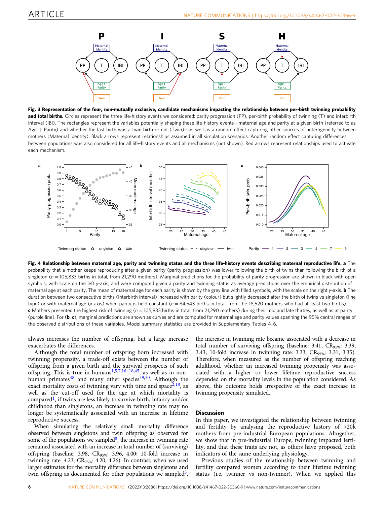<span id="page-5-0"></span>

Fig. 3 Representation of the four, non-mutually exclusive, candidate mechanisms impacting the relationship between per-birth twinning probability and total births. Circles represent the three life-history events we considered: parity progression (PP), per-birth probability of twinning (T) and interbirth interval (IBI). The rectangles represent the variables potentially shaping these life-history events—maternal age and parity at a given birth (referred to as Age + Parity) and whether the last birth was a twin birth or not (Twin)—as well as a random effect capturing other sources of heterogeneity between mothers (Maternal identity). Black arrows represent relationships assumed in all simulation scenarios. Another random effect capturing differences between populations was also considered for all life-history events and all mechanisms (not shown). Red arrows represent relationships used to activate each mechanism.



Fig. 4 Relationship between maternal age, parity and twinning status and the three life-history events describing maternal reproductive life. a The probability that a mother keeps reproducing after a given parity (parity progression) was lower following the birth of twins than following the birth of a singleton ( $n = 105,833$  births in total, from 21,290 mothers). Marginal predictions for the probability of parity progression are shown in black with open symbols, with scale on the left y-axis, and were computed given a parity and twinning status as average predictions over the empirical distribution of maternal age at each parity. The mean of maternal age for each parity is shown by the grey line with filled symbols, with the scale on the right y-axis. **b** The duration between two consecutive births (interbirth interval) increased with parity (colour) but slightly decreased after the birth of twins vs singleton (line type) or with maternal age (x-axis) when parity is held constant ( $n = 84,543$  births in total, from the 18,520 mothers who had at least two births). c Mothers presented the highest risk of twinning ( $n = 105,833$  births in total, from 21,290 mothers) during their mid and late thirties, as well as at parity 1 (purple line). For  $(b, c)$ , marginal predictions are shown as curves and are computed for maternal age and parity values spanning the 95% central ranges of the observed distributions of these variables. Model summary statistics are provided in Supplementary Tables 4–6.

always increases the number of offspring, but a large increase exacerbates the differences.

Although the total number of offspring born increased with twinning propensity, a trade-off exists between the number of offspring from a given birth and the survival prospects of such offspring. This is true in humans<sup>[1,5,7](#page-9-0),[16](#page-9-0)-[18](#page-9-0),[45](#page-10-0)</sup>, as well as in non-human primates<sup>48</sup> and many other species<sup>[49,50](#page-10-0)</sup>. Although the exact mortality costs of twinning vary with time and space<sup> $2,18$  $2,18$  $2,18$ </sup>, as well as the cut-off used for the age at which mortality is compared<sup>1</sup>, if twins are less likely to survive birth, infancy and/or childhood than singletons, an increase in twinning rate may no longer be systematically associated with an increase in lifetime reproductive success.

When simulating the relatively small mortality difference observed between singletons and twin offspring as observed for some of the populations we sampled<sup>8</sup>, the increase in twinning rate remained associated with an increase in total number of (surviving) offspring (baseline: 3.98, CR95%: 3.96, 4.00; 10-fold increase in twinning rate: 4.23,  $CR_{95\%}: 4.20, 4.26$ ). In contrast, when we used larger estimates for the mortality difference between singletons and twin offspring as documented for other populations we sampled<sup>3</sup>,

the increase in twinning rate became associated with a decrease in total number of surviving offspring (baseline: 3.41, CR<sub>95%</sub>: 3.39, 3.43; 10-fold increase in twinning rate: 3.33, CR<sub>95%</sub>: 3.31, 3.35). Therefore, when measured as the number of offspring reaching adulthood, whether an increased twinning propensity was associated with a higher or lower lifetime reproductive success depended on the mortality levels in the population considered. As above, this outcome holds irrespective of the exact increase in twinning propensity simulated.

#### **Discussion**

In this paper, we investigated the relationship between twinning and fertility by analysing the reproductive history of >20k mothers from pre-industrial European populations. Altogether, we show that in pre-industrial Europe, twinning impacted fertility, and that these traits are not, as others have proposed, both indicators of the same underlying physiology.

Previous studies of the relationship between twinning and fertility compared women according to their lifetime twinning status (i.e. twinner vs non-twinner). When we applied this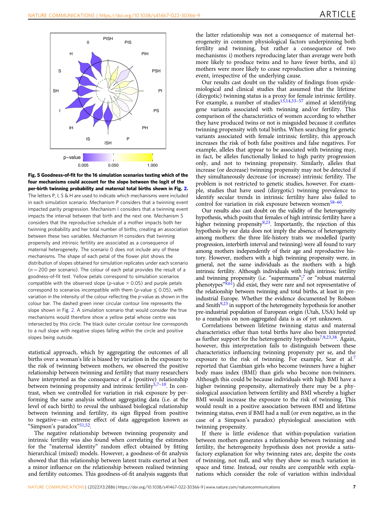<span id="page-6-0"></span>

Fig. 5 Goodness-of-fit for the 16 simulation scenarios testing which of the four mechanisms could account for the slope between the logit of the per-birth twinning probability and maternal total births shown in Fig. [2.](#page-4-0) The letters P, I, S & H are used to indicate which mechanisms were included in each simulation scenario. Mechanism P considers that a twinning event impacted parity progression. Mechanism I considers that a twinning event impacts the interval between that birth and the next one. Mechanism S considers that the reproductive schedule of a mother impacts both her twinning probability and her total number of births, creating an association between these two variables. Mechanism H considers that twinning propensity and intrinsic fertility are associated as a consequence of maternal heterogeneity. The scenario 0 does not include any of these mechanisms. The shape of each petal of the flower plot shows the distribution of slopes obtained for simulation replicates under each scenario  $(n = 200$  per scenario). The colour of each petal provides the result of a goodness-of-fit test. Yellow petals correspond to simulation scenarios compatible with the observed slope ( $p$ -value  $> 0.05$ ) and purple petals correspond to scenarios incompatible with them ( $p$ -value  $\leq$  0.05), with variation in the intensity of the colour reflecting the p-value as shown in the colour bar. The dashed green inner circular contour line represents the slope shown in Fig. [2.](#page-4-0) A simulation scenario that would consider the true mechanisms would therefore show a yellow petal whose centre was intersected by this circle. The black outer circular contour line corresponds to a null slope with negative slopes falling within the circle and positive slopes being outside.

statistical approach, which by aggregating the outcomes of all births over a woman's life is biased by variation in the exposure to the risk of twinning between mothers, we observed the positive relationship between twinning and fertility that many researchers have interpreted as the consequence of a (positive) relationship between twinning propensity and intrinsic fertility<sup>[5](#page-9-0),[7](#page-9-0)-10</sup>. In contrast, when we controlled for variation in risk exposure by performing the same analysis without aggregating data (i.e. at the level of each birth) to reveal the unbiased biological relationship between twinning and fertility, its sign flipped from positive to negative—an extreme effect of data aggregation known as "Simpson's paradox"[51,52.](#page-10-0)

The negative relationship between twinning propensity and intrinsic fertility was also found when correlating the estimates for the "maternal identity" random effect obtained by fitting hierarchical (mixed) models. However, a goodness-of-fit analysis showed that this relationship between latent traits exerted at best a minor influence on the relationship between realised twinning and fertility outcomes. This goodness-of-fit analysis suggests that the latter relationship was not a consequence of maternal heterogeneity in common physiological factors underpinning both fertility and twinning, but rather a consequence of two mechanisms: i) mothers reproducing later than average were both more likely to produce twins and to have fewer births, and ii) mothers were more likely to cease reproduction after a twinning event, irrespective of the underlying cause.

Our results cast doubt on the validity of findings from epidemiological and clinical studies that assumed that the lifetime (dizygotic) twinning status is a proxy for female intrinsic fertility. For example, a number of studies<sup>[13,14,](#page-9-0)[53](#page-10-0)-[57](#page-10-0)</sup> aimed at identifying gene variants associated with twinning and/or fertility. This comparison of the characteristics of women according to whether they have produced twins or not is misguided because it conflates twinning propensity with total births. When searching for genetic variants associated with female intrinsic fertility, this approach increases the risk of both false positives and false negatives. For example, alleles that appear to be associated with twinning may, in fact, be alleles functionally linked to high parity progression only, and not to twinning propensity. Similarly, alleles that increase (or decrease) twinning propensity may not be detected if they simultaneously decrease (or increase) intrinsic fertility. The problem is not restricted to genetic studies, however. For example, studies that have used (dizygotic) twinning prevalence to identify secular trends in intrinsic fertility have also failed to control for variation in risk exposure between women<sup>[58](#page-10-0)–[60](#page-10-0)</sup>.

Our results also cast doubt on the validity of the heterogeneity hypothesis, which posits that females of high intrinsic fertility have a higher twinning propensity<sup>9[,23](#page-10-0)</sup>. Importantly, the rejection of this hypothesis by our data does not imply the absence of heterogeneity among mothers: the three life-history traits we modelled (parity progression, interbirth interval and twinning) were all found to vary among mothers independently of their age and reproductive history. However, mothers with a high twinning propensity were, in general, not the same individuals as the mothers with a high intrinsic fertility. Although individuals with high intrinsic fertility and twinning propensity (i.e. "supermums";<sup>[7](#page-9-0)</sup> or "robust maternal phenotypes" $\overline{9,61}$  $\overline{9,61}$  $\overline{9,61}$  $\overline{9,61}$ ) did exist, they were rare and not representative of the relationship between twinning and total births, at least in preindustrial Europe. Whether the evidence documented by Robson and Smith $9,23$  $9,23$  in support of the heterogeneity hypothesis for another pre-industrial population of European origin (Utah, USA) hold up to a reanalysis on non-aggregated data is as of yet unknown.

Correlations between lifetime twinning status and maternal characteristics other than total births have also been interpreted as further support for the heterogeneity hypothesis<sup>[7,9,](#page-9-0)[23,38](#page-10-0)</sup>. Again, however, this interpretation fails to distinguish between these characteristics influencing twinning propensity per se, and the exposure to the risk of twinning. For example, Sear et al[.7](#page-9-0) reported that Gambian girls who become twinners have a higher body mass index (BMI) than girls who become non-twinners. Although this could be because individuals with high BMI have a higher twinning propensity, alternatively there may be a physiological association between fertility and BMI whereby a higher BMI would increase the exposure to the risk of twinning. This would result in a positive association between BMI and lifetime twinning status, even if BMI had a null (or even negative, as in the case of a Simpson's paradox) physiological association with twinning propensity.

If there is little evidence that within-population variation between mothers generates a relationship between twinning and fertility, the heterogeneity hypothesis does not provide a satisfactory explanation for why twinning rates are, despite the costs of twinning, not null, and why they show so much variation in space and time. Instead, our results are compatible with explanations which consider the role of variation within individual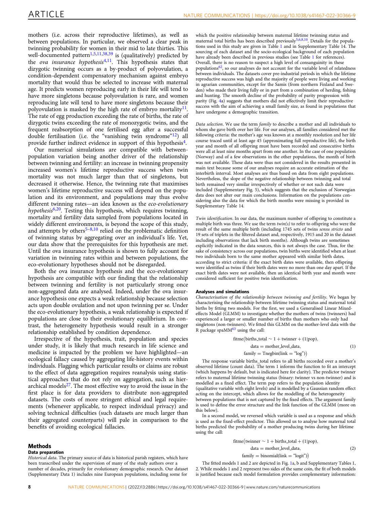mothers (i.e. across their reproductive lifetimes), as well as between populations. In particular, we observed a clear peak in twinning probability for women in their mid to late thirties. This well-documented pattern<sup>[1](#page-9-0),[5,11,](#page-9-0)[38,39](#page-10-0)</sup> is (qualitatively) predicted by the ova insurance hypothesis<sup>[4,11](#page-9-0)</sup>. This hypothesis states that dizygotic twinning occurs as a by-product of polyovulation, a condition-dependent compensatory mechanism against embryo mortality that would thus be selected to increase with maternal age. It predicts women reproducing early in their life will tend to have more singletons because polyovulation is rare, and women reproducing late will tend to have more singletons because their polyovulation is masked by the high rate of embryo mortality $^{11}$ . The rate of egg production exceeding the rate of births, the rate of dizygotic twins exceeding the rate of monozygotic twins, and the frequent reabsorption of one fertilised egg after a successful double fertilisation (i.e. the "vanishing twin syndrome"<sup>[12](#page-9-0)</sup>) all provide further indirect evidence in support of this hypothesis[4.](#page-9-0)

Our numerical simulations are compatible with betweenpopulation variation being another driver of the relationship between twinning and fertility: an increase in twinning propensity increased women's lifetime reproductive success when twin mortality was not much larger than that of singletons, but decreased it otherwise. Hence, the twinning rate that maximises women's lifetime reproductive success will depend on the population and its environment, and populations may thus evolve different twinning rates—an idea known as the eco-evolutionary hypothesis<sup>[6,20](#page-9-0)</sup>. Testing this hypothesis, which requires twinning, mortality and fertility data sampled from populations located in widely different environments, is beyond the scope of this study, and attempts by others<sup>[5](#page-9-0)-[8](#page-9-0),[10](#page-9-0)</sup> relied on the problematic definition of twinning status by aggregating over an individual's life. Yet, our data show that the prerequisites for this hypothesis are met. Until the ova insurance hypothesis is shown to fully account for variation in twinning rates within and between populations, the eco-evolutionary hypotheses should not be disregarded.

Both the ova insurance hypothesis and the eco-evolutionary hypothesis are compatible with our finding that the relationship between twinning and fertility is not particularly strong once non-aggregated data are analysed. Indeed, under the ova insurance hypothesis one expects a weak relationship because selection acts upon double ovulation and not upon twinning per se. Under the eco-evolutionary hypothesis, a weak relationship is expected if populations are close to their evolutionary equilibrium. In contrast, the heterogeneity hypothesis would result in a stronger relationship established by condition dependence.

Irrespective of the hypothesis, trait, population and species under study, it is likely that much research in life science and medicine is impacted by the problem we have highlighted—an ecological fallacy caused by aggregating life-history events within individuals. Flagging which particular results or claims are robust to the effect of data aggregation requires reanalysis using statistical approaches that do not rely on aggregation, such as hierarchical models $27$ . The most effective way to avoid the issue in the first place is for data providers to distribute non-aggregated datasets. The costs of more stringent ethical and legal requirements (whenever applicable, to respect individual privacy) and solving technical difficulties (such datasets are much larger than their aggregated counterparts) will pale in comparison to the benefits of avoiding ecological fallacies.

#### **Methods**

#### Data preparation

Historical data. The primary source of data is historical parish registers, which have been transcribed under the supervision of many of the study authors over a number of decades, primarily for evolutionary demographic research. Our dataset (Supplementary Data 1) includes nine European populations, including some for

which the positive relationship between maternal lifetime twinning status and maternal total births has been described previously<sup>[5,6,8](#page-9-0),[10](#page-9-0)</sup>. Details for the populations used in this study are given in Table [1](#page-2-0) and in Supplementary Table 14. The sourcing of each dataset and the socio-ecological background of each population have already been described in previous studies (see Table [1](#page-2-0) for references). Overall, there is no reason to suspect a high level of consanguinity in these populations $62$ , so our analyses do not account for the variable level of relatedness between individuals. The datasets cover pre-industrial periods in which the lifetime reproductive success was high and the majority of people were living and working in agrarian communities, except for the Samis (from northern Finland and Sweden) who made their living fully or in part from a combination of herding, fishing and hunting. The smooth decline of the probability of parity progression with parity (Fig. [4](#page-5-0)a) suggests that mothers did not effectively limit their reproductive success with the aim of achieving a small family size, as found in populations that have undergone a demographic transition.

Data selection. We use the term family to describe a mother and all individuals to whom she gave birth over her life. For our analyses, all families considered met the following criteria: the mother's age was known at a monthly resolution and her life course traced until at least age 45 (approximating full reproductive life), the birth year and month of all offspring must have been recorded and consecutive births were all at least nine months apart from one another. In the case of one population (Norway) and of a few observations in the other populations, the month of birth was not available. These data were thus not considered in the results presented in main text because some of our analyses require an accurate estimation of the interbirth interval. Most analyses are thus based on data from eight populations. Nevertheless, the slope of the negative relationship between twinning and total birth remained very similar irrespectively of whether or not such data were included (Supplementary Fig. 5), which suggests that the exclusion of Norwegian data does not alter our main conclusions. Information on the populations considering also the data for which the birth months were missing is provided in Supplementary Table 14.

Twin identification. In our data, the maximum number of offspring to constitute a multiple birth was three. We use the term  $twin(s)$  to refer to offspring who were the result of the same multiple birth (including 1745 sets of twins sensu stricto and 19 sets of triplets in the filtered dataset and, respectively, 1915 and 20 in the dataset including observations that lack birth months). Although twins are sometimes explicitly indicated in the data sources, this is not always the case. Thus, for the sake of consistency across our populations, twin births were identified when at least two individuals born to the same mother appeared with similar birth dates, according to strict criteria: if the exact birth dates were available, then offspring were identified as twins if their birth dates were no more than one day apart. If the exact birth dates were not available, then an identical birth year and month were considered sufficient for positive twin identification.

#### Analyses and simulations

Characterisation of the relationship between twinning and fertility. We began by characterising the relationship between lifetime twinning status and maternal total births by fitting two models. For the first, we used a Generalised Linear Mixedeffects Model (GLMM) to investigate whether the mothers of twins (twinners) had experienced a larger or smaller number of births than mothers who only had singletons (non-twinners). We fitted this GLMM on the mother-level data with the R package spaMM[63](#page-10-0) using the call:

$$
fitme(births\_total \sim 1 + twinner + (1|pop),
$$

$$
data = mother\_level\_data,
$$

$$
family = Tnegbin(line = "log")
$$

 $(1)$ 

 $(2)$ 

The response variable births\_total refers to all births recorded over a mother's observed lifetime (count data). The term 1 informs the function to fit an intercept (which happens by default, but is indicated here for clarity). The predictor twinner refers to maternal lifetime twinning status (binary: twinner vs non-twinner) and is modelled as a fixed effect. The term pop refers to the population identity

(qualitative variable with eight levels) and is modelled by a Gaussian random effect acting on the intercept, which allows for the modelling of the heterogeneity between populations that is not captured by the fixed effects. The argument family

is used to define the error structure and the link function of the GLMM (more on this below).

In a second model, we reversed which variable is used as a response and which is used as the fixed-effect predictor. This allowed us to analyse how maternal total births predicted the probability of a mother producing twins during her lifetime using the call:

$$
fitme(twinner \sim 1 + births\_total + (1|pop),
$$

$$
data = mother\_level\_data,
$$

 $family = binomial(link = "logit")$ 

The fitted models 1 and 2 are depicted in Fig. [1](#page-3-0)a, b and Supplementary Tables 1, 2. While models 1 and 2 represent two sides of the same coin, the fit of both models is justified because each model formulation provides complementary information: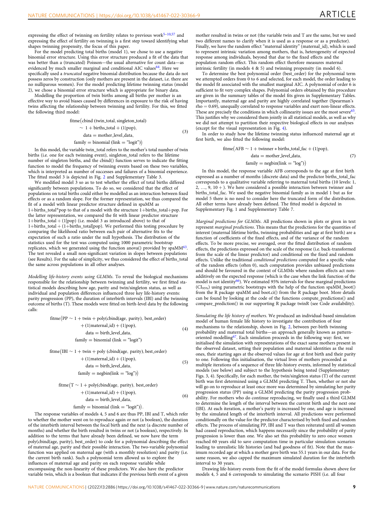expressing the effect of twinning on fertility relates to previous work $5-10,57$  $5-10,57$  $5-10,57$  $5-10,57$  and expressing the effect of fertility on twinning is a first step toward identifying what shapes twinning propensity, the focus of this paper.

For the model predicting total births (model 1), we chose to use a negative binomial error structure. Using this error structure produced a fit of the data that was better than a (truncated) Poisson—the usual alternative for count data—as evidenced by much smaller marginal and conditional AIC values<sup>[64](#page-10-0)</sup>. Here we specifically used a truncated negative binomial distribution because the data do not possess zeros by construction (only mothers are present in the dataset, i.e. there are no nulliparous women). For the model predicting lifetime twinning status (model 2), we chose a binomial error structure which is appropriate for binary data.

Modelling the proportion of twin births among all births per mother is an effective way to avoid biases caused by differences in exposure to the risk of having twins affecting the relationship between twinning and fertility. For this, we fitted the following third model:

fitme (cbind (twin\_total, singleton\_total)

 $\sim 1 + \text{births\_total} + (1|\text{pop})$ ,

$$
data = mother\_level\_data,
$$

 $(3)$ 

family  $=$  binomial (link  $=$  "logit") $)$ 

In this model, the variable twin\_total refers to the mother's total number of twin births (i.e. one for each twinning event), singleton\_total refers to the lifetime number of singleton births, and the cbind() function serves to indicate the fitting function to model the frequency of twinning events based on these two variables, which is interpreted as number of successes and failures of a binomial experience. The fitted model 3 is depicted in Fig. [2](#page-4-0) and Supplementary Table 3.

We modified model 3 so as to test whether the effect of total births differed significantly between populations. To do so, we considered that the effect of populations on total births could either be modelled as an interaction between fixed effects or as a random slope. For the former representation, we thus compared the fit of a model with linear predictor structure defined in spaMM as 1+births\_total\*pop to that of a model with the structure 1+births\_total+pop. For the latter representation, we compared the fit with linear predictor structure 1+births\_total + (1|pop) (i.e. model 3 as introduced above) to that of 1+births\_total + (1+births\_total|pop). We performed this testing procedure by comparing the likelihood ratio between each pair of alternative fits to the expectation of such a ratio under the null hypothesis. The distribution of the statistics used for the test was computed using 1000 parametric bootstrap replicates, which we generated using the function anova() provided by spaMM<sup>63</sup>. The test revealed a small non-significant variation in slopes between populations (see Results). For the sake of simplicity, we thus considered the effect of births\_total the same across populations in all other analyses.

Modelling life-history events using GLMMs. To reveal the biological mechanisms responsible for the relationship between twinning and fertility, we first fitted statistical models describing how age, parity and twin/singleton status, as well as individual and population differences influenced three key life-history events: parity progression (PP), the duration of interbirth intervals (IBI) and the twinning outcome of births (T). These models were fitted on birth-level data by the following calls:

$$
fitme(PP \sim 1 + twin + poly(cbind(age, parity), best-order) + (1|material_id) + (1|pop), data = birth-level_data, family = binomial (link = "logit")
$$
 (4)

fitme (IBI  $\sim 1 +$  twin + poly (cbind(age, parity), best\_order)

þ ð1jmaternal idÞþð1jpopÞ; data ¼ birth level data; family ¼ negbinðlink ¼ "log"Þ ð5Þ

$$
frame(T \sim 1 + poly(cbind(age, parity), best-order)
$$

$$
+ (1|material_id) + (1|pop),
$$

$$
data = birth\_level\_data,
$$

$$
family = binomial (link = "logit")).
$$
(6)

The response variables of models 4, 5 and 6 are thus PP, IBI and T, which refer to whether the mother went on to reproduce again or not (a boolean), the duration of the interbirth interval between the focal birth and the next (a discrete number of months) and whether the birth resulted in twins or not (a boolean), respectively. In addition to the terms that have already been defined, we now have the term poly(cbind(age, parity), best\_order) to code for a polynomial describing the effect of maternal age, parity and their possible interaction. The two-variable polynomial function was applied on maternal age (with a monthly resolution) and parity (i.e. the current birth rank). Such a polynomial term allowed us to explore the influences of maternal age and parity on each response variable while encompassing the non-linearity of these predictors. We also have the predictor variable twin, which is a boolean that indicates if the previous birth event of a given

mother resulted in twins or not (the variable twin and T are the same, but we used two different names to clarify when it is used as a response or as a predictor). Finally, we have the random effect "maternal identity" (maternal\_id), which is used to represent intrinsic variation among mothers, that is, heterogeneity of expected response among individuals, beyond that due to the fixed effects and the population random effect. This random effect therefore measures maternal intrinsic fertility (in models 4 & 5) and twinning propensity (in model 6).

To determine the best polynomial order (best\_order) for the polynomial term we attempted orders from 0 to 6 and selected, for each model, the order leading to the model fit associated with the smallest marginal AIC. A polynomial of order 6 is sufficient to fit very complex shapes. Polynomial orders obtained by this procedure are given in the summary tables of the model fits given in Supplementary Tables. Importantly, maternal age and parity are highly correlated together (Spearman's  $rho = 0.69$ , unequally correlated to response variables and exert non-linear effects. These are precisely the conditions in which collinearity issues are the most severe<sup>[65](#page-10-0)</sup>. This justifies why we considered them jointly in all statistical models, as well as why we did not attempt to partition their respective biological effects in our analyses (except for the visual representation in Fig. [4](#page-5-0)).

In order to study how the lifetime twinning status influenced maternal age at first birth, we also fitted the following model:

$$
frame(AFB \sim 1 + twinner * births\_total\_fac + (1|pop),
$$
  

$$
data = mother\_level\_data,
$$
 (7)  

$$
family = negbin(link = "log")
$$

In this model, the response variable AFB corresponds to the age at first birth expressed as a number of months (discrete data) and the predictor births\_total\_fac corresponds to a qualitative variable referring to maternal total births (10 levels: 1,  $2, ..., 9, 10 +$ ). We here considered a possible interaction between twinner and births\_total\_fac. We used the negative binomial family as in model 1 but as for model 5 there is no need to consider here the truncated form of the distribution. All other terms have already been defined. The fitted model is depicted in Supplementary Fig. 1 and Supplementary Table 7.

Marginal predictions for GLMMs. All predictions shown in plots or given in text represent marginal predictions. This means that the predictions for the quantities of interest (maternal lifetime births, twinning probabilities and age at first birth) are a function of coefficients of the fixed effects, and of the variance of the random effects. To be more precise, we averaged, over the fitted distribution of random effects, the predictions expressed on the scale of the response (i.e. back-transformed from the scale of the linear predictor) and conditional on the fixed and random effects. Unlike the traditional conditional predictions computed for a specific value of the random effects (often 0), such computation provides unbiased predictions and should be favoured in the context of GLMMs where random effects act nonadditively on the expected response (which is the case when the link function of the model is not identity<sup>[66](#page-10-0)</sup>). We estimated 95% intervals for these marginal predictions  $(CI_{95\%})$  using parametric bootstraps with the help of the function spa $MM\_boot()$ from the R package spaMM and boot.ci() from the R package boot. More details can be found by looking at the code of the functions compute\_predictions() and compare\_prediction() in our supporting R package twinR (see Code availability).

Simulating the life history of mothers. We produced an individual-based simulation model of human female life history to investigate the contribution of four mechanisms to the relationship, shown in Fig. [2,](#page-4-0) between per-birth twinning probability and maternal total births—an approach generally known as patternoriented modelling<sup>67</sup>. Each simulation proceeds in the following way: first, we initialised the simulation with representations of the exact same mothers present in the observed dataset, setting their population and maternal identities as the real ones, their starting ages at the observed values for age at first birth and their parity to one. Following this initialisation, the virtual lives of mothers proceeded as multiple iterations of a sequence of three life-history events, informed by statistical models (see below) and subject to the hypothesis being tested (Supplementary Figs. 3, 4). Specifically, for each mother, the twin/singleton status (T) of the current birth was first determined using a GLMM predicting T. Then, whether or not she will go on to reproduce at least once more was determined by simulating her parity progression status (PP) using a GLMM predicting the parity progression probability. For mothers who do continue reproducing, we finally used a third GLMM to determine the length of the interval between the current birth and the next one (IBI). At each iteration, a mother's parity is increased by one, and age is increased by the simulated length of the interbirth interval. All predictions were performed conditionally on the value for the predictor characterised by both fixed and random effects. The process of simulating PP, IBI and T was then reiterated until all women had ceased reproduction, which happens necessarily since the probability of parity progression is lower than one. We also set this probability to zero once women reached 60 years old to save computation time in particular simulation scenarios leading to unrealistic life histories (and bad goodness of fit). Note that the maximum recorded age at which a mother gave birth was 55.1 years in our data. For the same reason, we also capped the maximum simulated duration for the interbirth interval to 30 years.

Drawing life-history events from the fit of the model formulas shown above for models 4, 5 and 6 corresponds to simulating the scenario PISH (i.e. all four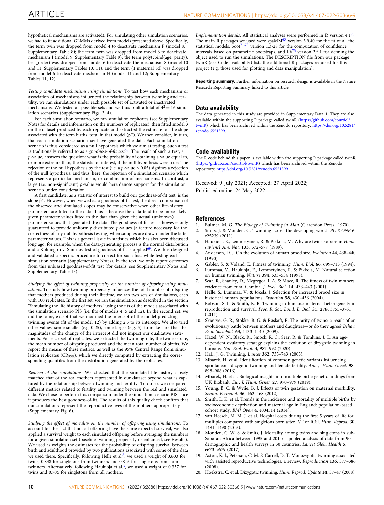<span id="page-9-0"></span>hypothetical mechanisms are activated). For simulating other simulation scenarios, we had to fit additional GLMMs derived from models presented above. Specifically, the term twin was dropped from model 4 to deactivate mechanism P (model 8; Supplementary Table 8); the term twin was dropped from model 5 to deactivate mechanism I (model 9; Supplementary Table 9); the term poly(cbind(age, parity), best\_order) was dropped from model 6 to deactivate the mechanism S (model 10 and 11; Supplementary Tables 10, 11); and the term (1|maternal\_id) was dropped from model 6 to deactivate mechanism H (model 11 and 12; Supplementary Tables 11, 12).

Testing candidate mechanisms using simulations. To test how each mechanism or association of mechanisms influenced the relationship between twinning and fertility, we ran simulations under each possible set of activated or inactivated mechanisms. We tested all possible sets and we thus built a total of  $4^2 = 16$  simulation scenarios (Supplementary Figs. 3, 4).

For each simulation scenario, we ran simulation replicates (see Supplementary Notes for details and information on the numbers of replicates), then fitted model 3 on the dataset produced by each replicate and extracted the estimate for the slope associated with the term births\_total in that model  $(\beta^*)$ . We then consider, in turn, that each simulation scenario may have generated the data. Each simulation scenario is thus considered as a null hypothesis which we aim at testing. Such a test is traditionally referred to as a goodness-of-fit test<sup>[68](#page-10-0)</sup>. The result of such a test, a p-value, answers the question: what is the probability of obtaining a value equal to, or more extreme than, the statistic of interest, if the null hypothesis were true? The rejection of the null hypothesis by the test (i.e. a *p*-value  $\leq$  0.05) signifies a rejection of the null hypothesis, and thus, here, the rejection of a simulation scenario which represents a particular mechanism, or combination of mechanisms. In contrast, a large (i.e. non-significant) p-value would here denote support for the simulation scenario under consideration.

A first candidate, as a statistic of interest to build our goodness-of-fit test, is the slope  $\beta^*$ . However, when viewed as a goodness-of-fit test, the direct comparison of the observed and simulated slopes may be conservative when other life-history parameters are fitted to the data. This is because the data tend to be more likely given parameter values fitted to the data than given the actual (unknown) parameter values that generated the data. The goodness-of-fit test is however only guaranteed to provide uniformly distributed p-values (a feature necessary for the correctness of any null hypothesis testing) when samples are drawn under the latter parameter values. This is a general issue in statistics which has also been discussed long ago, for example, when the data-generating process is the normal distribution and a Kolmogorov–Smirnov test of goodness-of-fit is applied<sup>69</sup>. We thus designed and validated a specific procedure to correct for such bias while testing each simulation scenario (Supplementary Notes). In the text, we only report outcomes from this unbiased goodness-of-fit test (for details, see Supplementary Notes and Supplementary Table 13).

Studying the effect of twinning propensity on the number of offspring using simulations. To study how twinning propensity influences the total number of offspring that mothers produced during their lifetime, we ran two sets of simulations, each with 100 replicates. In the first set, we ran the simulation as described in the section "Simulating the life history of mothers" using the fits of the models associated with the simulation scenario PIS (i.e. fits of models 4, 5 and 12). In the second set, we did the same, except that we modified the intercept of the model predicting twinning events (fit of the model 12) by adding 2.5 to its intercept. We also tried other values, some smaller (e.g. 0.25), some larger (e.g. 5), to make sure that the magnitudes of the change of the intercept did not impact our qualitative statements. For each set of replicates, we extracted the twinning rate, the twinner rate, the mean number of offspring produced and the mean total number of births. We report the means of these metrics, as well as the 95% Central Range from simulation replicates ( $CR_{95\%}$ ), which we directly computed by extracting the corresponding quantiles from the distribution generated by the replicates.

Realism of the simulations. We checked that the simulated life history closely matched that of the real mothers represented in our dataset beyond what is captured by the relationship between twinning and fertility. To do so, we compared different metrics related to fertility and twinning between the real and simulated data. We chose to perform this comparison under the simulation scenario PIS since it produces the best goodness-of-fit. The results of this quality check confirm that our simulations represent the reproductive lives of the mothers appropriately (Supplementary Fig. 6).

Studying the effect of mortality on the number of offspring using simulations. To account for the fact that not all offspring have the same expected survival, we also applied a survival weight to each simulated offspring before averaging the numbers for a given simulation set (baseline twinning propensity or enhanced, see Results). We used as weights the estimates for the probability of offspring survival between birth and adulthood provided by two publications associated with some of the data we used there. Specifically, following Helle et al.<sup>8</sup>, we used a weight of 0.603 for twins, 0.838 for singletons from twinners and 0.815 for singletons from nontwinners. Alternatively, following Haukioja et al.<sup>3</sup>, we used a weight of 0.337 for twins and 0.706 for singletons from all mothers.

Implementation details. All statistical analyses were performed in R version  $4.1^{70}$ . The main R packages we used were spa $\dot{M}$ <sup>[63](#page-10-0)</sup> version 3.9.40 for the fit of all the statistical models, boot<sup>[71,72](#page-10-0)</sup> version 1.3-28 for the computation of confidence intervals based on parametric bootstraps, and  $R6^{73}$  version 2.5.1 for defining the object used to run the simulations. The DESCRIPTION file from our package twinR (see Code availability) lists the additional R packages required for this project (e.g. those used for plotting and data manipulation).

Reporting summary. Further information on research design is available in the Nature Research Reporting Summary linked to this article.

#### Data availability

The data generated in this study are provided in Supplementary Data 1. They are also available within the supporting R package called twinR [\(https://github.com/courtiol/](https://github.com/courtiol/twinR) [twinR](https://github.com/courtiol/twinR)) which has been archived within the Zenodo repository: [https://doi.org/10.5281/](https://doi.org/10.5281/zenodo.6551399) [zenodo.6551399.](https://doi.org/10.5281/zenodo.6551399)

#### Code availability

The R code behind this paper is available within the supporting R package called twinR ([https://github.com/courtiol/twinR\)](https://github.com/courtiol/twinR) which has been archived within the Zenodo repository: [https://doi.org/10.5281/zenodo.6551399.](https://doi.org/10.5281/zenodo.6551399)

Received: 9 July 2021; Accepted: 27 April 2022; Published online: 24 May 2022

#### References

- 1. Bulmer, M. G. The Biology of Twinning in Man (Clarendon Press., 1970).
- Smits, J. & Monden, C. Twinning across the developing world. PLoS ONE 6, e25239 (2011).
- Haukioja, E., Lemmetyinen, R. & Pikkola, M. Why are twins so rare in Homo sapiens? Am. Nat. 133, 572–577 (1989).
- 4. Anderson, D. J. On the evolution of human brood size. Evolution 44, 438–440  $(1990)$
- 5. Gabler, S. & Voland, E. Fitness of twinning. Hum. Biol. 66, 699–713 (1994).
- 6. Lummaa, V., Haukioja, E., Lemmetyinen, R. & Pikkola, M. Natural selection on human twinning. Nature 394, 533–534 (1998).
- 7. Sear, R., Shanley, D., Mcgregor, I. A. & Mace, R. The fitness of twin mothers: evidence from rural Gambia. J. Evol. Biol. 14, 433–443 (2001).
- 8. Helle, S., Lummaa, V. & Jokela, J. Selection for increased brood size in historical human populations. Evolution 58, 430–436 (2004).
- 9. Robson, S. L. & Smith, K. R. Twinning in humans: maternal heterogeneity in reproduction and survival. Proc. R. Soc. Lond. B: Biol. Sci. 278, 3755–3761 (2011).
- 10. Skjærvø, G. R., Stokke, B. G. & Røskaft, E. The rarity of twins: a result of an evolutionary battle between mothers and daughters—or do they agree? Behav. Ecol. Sociobiol. 63, 1133–1140 (2009).
- 11. Hazel, W. N., Black, R., Smock, R. C., Sear, R. & Tomkins, J. L. An agedependent ovulatory strategy explains the evolution of dizygotic twinning in humans. Nat. Ecol. Evol. 4, 987–992 (2020).
- 12. Hall, J. G. Twinning. Lancet 362, 735–743 (2003).
- 13. Mbarek, H. et al. Identification of common genetic variants influencing spontaneous dizygotic twinning and female fertility. Am. J. Hum. Genet. 98, 898–908 (2016).
- 14. Mbarek, H. et al. Biological insights into multiple birth: genetic findings from UK Biobank. Eur. J. Hum. Genet. 27, 970–979 (2019).
- 15. Young, B. C. & Wylie, B. J. Effects of twin gestation on maternal morbidity. Semin. Perinatol. 36, 162–168 (2012).
- 16. Smith, L. K. et al. Trends in the incidence and mortality of multiple births by socioeconomic deprivation and maternal age in England: population-based cohort study. BMJ Open 4, e004514 (2014).
- 17. van Heesch, M. M. J. et al. Hospital costs during the first 5 years of life for multiples compared with singletons born after IVF or ICSI. Hum. Reprod. 30, 1481–1490 (2015).
- 18. Monden, C. W. S. & Smits, J. Mortality among twins and singletons in sub-Saharan Africa between 1995 and 2014: a pooled analysis of data from 90 demographic and health surveys in 30 countries. Lancet Glob. Health 5, e673–e679 (2017).
- 19. Aston, K. I., Peterson, C. M. & Carrell, D. T. Monozygotic twinning associated with assisted reproductive technologies: a review. Reproduction 136, 377–386 (2008).
- 20. Hoekstra, C. et al. Dizygotic twinning. Hum. Reprod. Update 14, 37–47 (2008).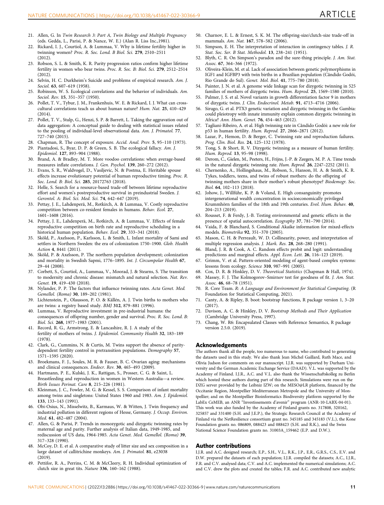- <span id="page-10-0"></span>21. Allen, G. In Twin Research 3: Part A, Twin Biology and Multiple Pregnancy (eds. Gedda, L., Parisi, P. & Nance, W. E.) (Alan R. Liss Inc.,1981).
- 22. Rickard, I. J., Courtiol, A. & Lummaa, V. Why is lifetime fertility higher in twinning women? Proc. R. Soc. Lond. B Biol. Sci. 279, 2510–2511 (2012).
- 23. Robson, S. L. & Smith, K. R. Parity progression ratios confirm higher lifetime fertility in women who bear twins. Proc. R. Soc. B: Biol. Sci. 279, 2512–2514 (2012).
- 24. Selvin, H. C. Durkheim's Suicide and problems of empirical research. Am. J. Sociol. **63**, 607-619 (1958).
- 25. Robinson, W. S. Ecological correlations and the behavior of individuals. Am. Sociol. Rev. 15, 351–357 (1950).
- 26. Pollet, T. V., Tybur, J. M., Frankenhuis, W. E. & Rickard, I. J. What can crosscultural correlations teach us about human nature? Hum. Nat. 25, 410–429 (2014).
- 27. Pollet, T. V., Stulp, G., Henzi, S. P. & Barrett, L. Taking the aggravation out of data aggregation: A conceptual guide to dealing with statistical issues related to the pooling of individual-level observational data. Am. J. Primatol. 77, 727–740 (2015).
- 28. Chapman, R. The concept of exposure. Accid. Anal. Prev. 5, 95–110 (1973).
- Piantadosi, S., Byar, D. P. & Green, S. B. The ecological fallacy. Am. J. Epidemiol. 127, 893–904 (1988).
- 30. Brand, A. & Bradley, M. T. More voodoo correlations: when average-based measures inflate correlations. J. Gen. Psychol. 139, 260–272 (2012).
- 31. Evans, S. R., Waldvogel, D., Vasiljevic, N. & Postma, E. Heritable spouse effects increase evolutionary potential of human reproductive timing. Proc. R. Soc. Lond. B: Biol. Sci. 285, 20172763 (2018).
- 32. Helle, S. Search for a resource-based trade-off between lifetime reproductive effort and women's postreproductive survival in preindustrial Sweden. J. Gerontol. A: Biol. Sci. Med. Sci. 74, 642–647 (2019).
- 33. Pettay, J. E., Lahdenperä, M., Rotkirch, A. & Lummaa, V. Costly reproductive competition between co-resident females in humans. Behav. Ecol. 27, 1601–1608 (2016).
- 34. Pettay, J. E., Lahdenperä, M., Rotkirch, A. & Lummaa, V. Effects of female reproductive competition on birth rate and reproductive scheduling in a historical human population. Behav. Ecol. 29, 333–341 (2018).
- 35. Sköld, P., Axelsson, P., Karlsson, L. & Smith, L. Infant mortality of Sami and settlers in Northern Sweden: the era of colonization 1750–1900. Glob. Health Action 4, 8441 (2011).
- 36. Sköld, P. & Axelsson, P. The northern population development; colonization and mortality in Swedish Sapmi, 1776–1895. Int. J. Circumpolar Health 67, 29–44 (2008).
- 37. Corbett, S., Courtiol, A., Lummaa, V., Moorad, J. & Stearns, S. The transition to modernity and chronic disease: mismatch and natural selection. Nat. Rev. Genet. 19, 419–430 (2018).
- 38. Nylander, P. P. The factors that influence twinning rates. Acta Genet. Med. Gemellol. (Roma) 30, 189–202 (1981).
- 39. Lichtenstein, P., Olausson, P. O. & Källén, A. J. Twin births to mothers who are twins: a registry based study. BMJ 312, 879–881 (1996).
- 40. Lummaa, V. Reproductive investment in pre-industrial humans: the consequences of offspring number, gender and survival. Proc. R. Soc. Lond. B: Biol. Sci. 268, 1977–1983 (2001).
- Record, R. G., Armstrong, E. & Lancashire, R. J. A study of the fertility of mothers of twins. J. Epidemiol. Community Health 32, 183–189 (1978).
- 42. Clark, G., Cummins, N. & Curtis, M. Twins support the absence of paritydependent fertility control in pretransition populations. Demography 57, 1571–1595 (2020).
- 43. Broekmans, F. J., Soules, M. R. & Fauser, B. C. Ovarian aging: mechanisms and clinical consequences. Endocr. Rev. 30, 465-493 (2009).
- 44. Hartmann, P. E., Kulski, J. K., Rattigan, S., Prosser, C. G. & Saint, L. Breastfeeding and reproduction in women in Western Australia—a review. Birth Issues Perinat. Care 8, 215–226 (1981).
- 45. Kleinman, J. C., Fowler, M. G. & Kessel, S. S. Comparison of infant mortality among twins and singletons: United States 1960 and 1983. Am. J. Epidemiol. 133, 133–143 (1991).
- 46. Obi-Osius, N., Misselwitz, B., Karmaus, W. & Witten, J. Twin frequency and industrial pollution in different regions of Hesse, Germany. J. Occup. Environ. Med. 61, 482–487 (2004).
- 47. Allen, G. & Parisi, P. Trends in monozygotic and dizygotic twinning rates by maternal age and parity. Further analysis of Italian data, 1949-1985, and rediscussion of US data, 1964-1985. Acta Genet. Med. Gemellol. (Roma) 39, 317–328 (1990).
- 48. McCoy, D. E. et al. A comparative study of litter size and sex composition in a large dataset of callitrichine monkeys. Am. J. Primatol. 81, e23038 (2019).
- 49. Pettifor, R. A., Perrins, C. M. & McCleery, R. H. Individual optimization of clutch size in great tits. Nature 336, 160–162 (1988).
- 50. Charnov, E. L. & Ernest, S. K. M. The offspring‐size/clutch‐size trade‐off in mammals. Am. Nat. 167, 578–582 (2006).
- 51. Simpson, E. H. The interpretation of interaction in contingency tables. J. R. Stat. Soc. Ser. B Stat. Methodol. 13, 238–241 (1951).
- 52. Blyth, C. R. On Simpson's paradox and the sure-thing principle. J. Am. Stat. Assoc. 67, 364-366 (1972).
- 53. Oliveira-Klein, M. et al. Lack of association between genetic polymorphisms in IGF1 and IGFBP3 with twin births in a Brazilian population (Cândido Godói, Rio Grande do Sul). Genet. Mol. Biol. 41, 775–780 (2018).
- 54. Painter, J. N. et al. A genome wide linkage scan for dizygotic twinning in 525 families of mothers of dizygotic twins. Hum. Reprod. 25, 1569–1580 (2010).
- 55. Palmer, J. S. et al. Novel variants in growth differentiation factor 9 in mothers of dizygotic twins. J. Clin. Endocrinol. Metab. 91, 4713–4716 (2006).
- 56. Sirugo, G. et al. PTX3 genetic variation and dizygotic twinning in the Gambia: could pleiotropy with innate immunity explain common dizygotic twinning in Africa? Ann. Hum. Genet. 76, 454–463 (2012).
- 57. Tagliani-Ribeiro, A. et al. High twinning rate in Cândido Godói: a new role for p53 in human fertility. Hum. Reprod. 27, 2866–2871 (2012).
- 58. Lazar, P., Hemon, D. & Berger, C. Twinning rate and reproduction failures. Prog. Clin. Biol. Res. 24, 125–132 (1978).
- 59. Tong, S. & Short, R. V. Dizygotic twinning as a measure of human fertility. Hum. Reprod. 13, 95–98 (1998).
- 60. Derom, C., Gielen, M., Peeters, H., Frijns, J.-P. & Zeegers, M. P. A. Time trends in the natural dizygotic twinning rate. Hum. Reprod. 26, 2247–2252 (2011).
- 61. Chernenko, A., Hollingshaus, M., Robson, S., Hanson, H. A. & Smith, K. R. Tykes, toddlers, teens, and twins of robust mothers: do the offspring of twinning mothers share in their mother's robust phenotype? Biodemogr. Soc. Biol. 64, 102–113 (2018).
- Johow, J., Willführ, K. P. & Voland, E. High consanguinity promotes intergenerational wealth concentration in socioeconomically privileged Krummhörn families of the 18th and 19th centuries. Evol. Hum. Behav. 40, 204–213 (2019).
- 63. Rousset, F. & Ferdy, J.-B. Testing environmental and genetic effects in the presence of spatial autocorrelation. Ecography 37, 781–790 (2014).
- Vaida, F. & Blanchard, S. Conditional Akaike information for mixed-effects models. Biometrika 92, 351–370 (2005).
- 65. Mason, C. H. & Perreault, W. D. Collinearity, power, and interpretation of multiple regression analysis. J. Mark. Res. 28, 268–280 (1991).
- 66. Bland, J. R. & Cook, A. C. Random effects probit and logit: understanding predictions and marginal effects. Appl. Econ. Lett. 26, 116–123 (2019).
- 67. Grimm, V. et al. Pattern-oriented modeling of agent-based complex systems: lessons from ecology. Science 310, 987–991 (2005).
- 68. Cox, D. R. & Hinkley, D. V. Theoretical Statistics (Chapman & Hall, 1974). 69. Massey, F. J. The Kolmogorov–Smirnov test for goodness of fit. J. Am. Stat. Assoc. 46, 68–78 (1951).
- 70. R. Core Team. R: A Language and Environment for Statistical Computing. (R Foundation for Statistical Computing, 2021).
- 71. Canty, A. & Ripley, B. boot: bootstrap functions, R package version 1, 3–20 (2017).
- 72. Davison, A. C. & Hinkley, D. V. Bootstrap Methods and Their Application (Cambridge University Press, 1997).
- 73. Chang, W. R6: Encapsulated Classes with Reference Semantics, R package version 2.5.0. (2019).

#### Acknowledgements

The authors thank all the people, too numerous to name, who contributed to generating the datasets used in this study. We also thank Jean Michel Gaillard, Ruth Mace, and Olivia Judson for comments on our manuscript. I.J.R. was supported by Durham University and the German Academic Exchange Service (DAAD). V.L. was supported by the Academy of Finland. I.J.R., A.C. and V.L. also thank the Wissenschaftskolleg zu Berlin which hosted these authors during part of this research. Simulations were run on the DZG server provided by the Leibniz IZW; on the MESO@LR platform, financed by the Occitanie Region, Montpellier Mediterranean Metropole and the University of Montpellier; and on the Montpellier Bioinformatics Biodiversity platform supported by the LabEx CeMEB, an ANR "Investissements d'avenir" program (ANR-10-LABX-04-01). This work was also funded by the Academy of Finland grants no. 317808, 320162, 325857 and 331400 (S.H. and J.E.P.), the Strategic Research Council at the Academy of Finland via the NetResilience consortium grant no. 345185 and 345183 (V.L.), the Kone Foundation grants no. 086809, 088423 and 088423 (S.H. and R.K.), and the Swiss National Science Foundation grants no. 31003A\_159462 (E.P. and D.W.).

#### Author contributions

I.J.R. and A.C. designed research; E.P., S.H., V.L., R.K., J.P., E.R., G.R.S., C.S., E.V. and D.W. prepared the datasets of each population; I.J.R. compiled the datasets; A.C., I.J.R., F.R. and C.V. analysed data; C.V. and A.C. implemented the numerical simulations; A.C. and C.V. drew the plots and created the tables; F.R. and A.C. contributed new analytic